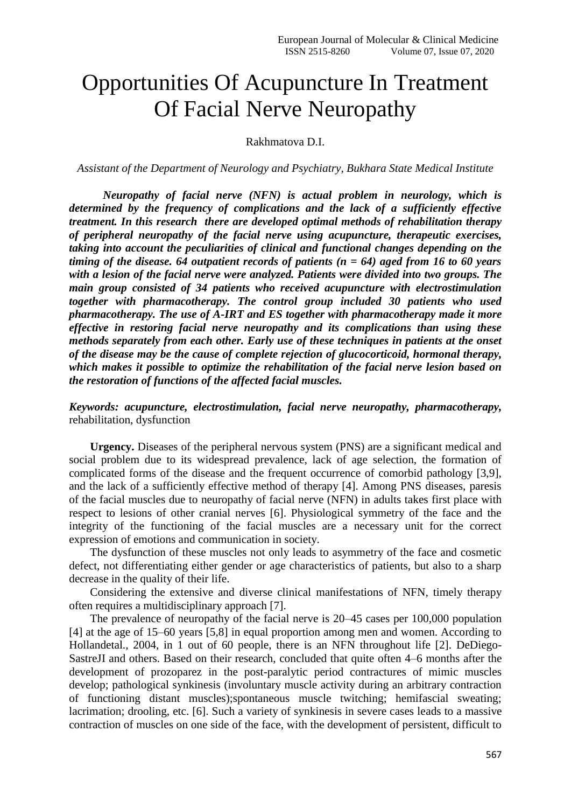# Opportunities Of Acupuncture In Treatment Of Facial Nerve Neuropathy

#### Rakhmatova D.I.

*Assistant of the Department of Neurology and Psychiatry, Bukhara State Medical Institute*

*Neuropathy of facial nerve (NFN) is actual problem in neurology, which is determined by the frequency of complications and the lack of a sufficiently effective treatment. In this research there are developed optimal methods of rehabilitation therapy of peripheral neuropathy of the facial nerve using acupuncture, therapeutic exercises, taking into account the peculiarities of clinical and functional changes depending on the timing of the disease. 64 outpatient records of patients (n = 64) aged from 16 to 60 years with a lesion of the facial nerve were analyzed. Patients were divided into two groups. The main group consisted of 34 patients who received acupuncture with electrostimulation together with pharmacotherapy. The control group included 30 patients who used pharmacotherapy. The use of A-IRT and ES together with pharmacotherapy made it more effective in restoring facial nerve neuropathy and its complications than using these methods separately from each other. Early use of these techniques in patients at the onset of the disease may be the cause of complete rejection of glucocorticoid, hormonal therapy, which makes it possible to optimize the rehabilitation of the facial nerve lesion based on the restoration of functions of the affected facial muscles.*

*Keywords: acupuncture, electrostimulation, facial nerve neuropathy, pharmacotherapy,* rehabilitation, dysfunction

**Urgency.** Diseases of the peripheral nervous system (PNS) are a significant medical and social problem due to its widespread prevalence, lack of age selection, the formation of complicated forms of the disease and the frequent occurrence of comorbid pathology [3,9], and the lack of a sufficiently effective method of therapy [4]. Among PNS diseases, paresis of the facial muscles due to neuropathy of facial nerve (NFN) in adults takes first place with respect to lesions of other cranial nerves [6]. Physiological symmetry of the face and the integrity of the functioning of the facial muscles are a necessary unit for the correct expression of emotions and communication in society.

The dysfunction of these muscles not only leads to asymmetry of the face and cosmetic defect, not differentiating either gender or age characteristics of patients, but also to a sharp decrease in the quality of their life.

Considering the extensive and diverse clinical manifestations of NFN, timely therapy often requires a multidisciplinary approach [7].

The prevalence of neuropathy of the facial nerve is 20–45 cases per 100,000 population [4] at the age of 15–60 years [5,8] in equal proportion among men and women. According to Hollandetal., 2004, in 1 out of 60 people, there is an NFN throughout life [2]. DeDiego-SastreJI and others. Based on their research, concluded that quite often 4–6 months after the development of prozoparez in the post-paralytic period contractures of mimic muscles develop; pathological synkinesis (involuntary muscle activity during an arbitrary contraction of functioning distant muscles);spontaneous muscle twitching; hemifascial sweating; lacrimation; drooling, etc. [6]. Such a variety of synkinesis in severe cases leads to a massive contraction of muscles on one side of the face, with the development of persistent, difficult to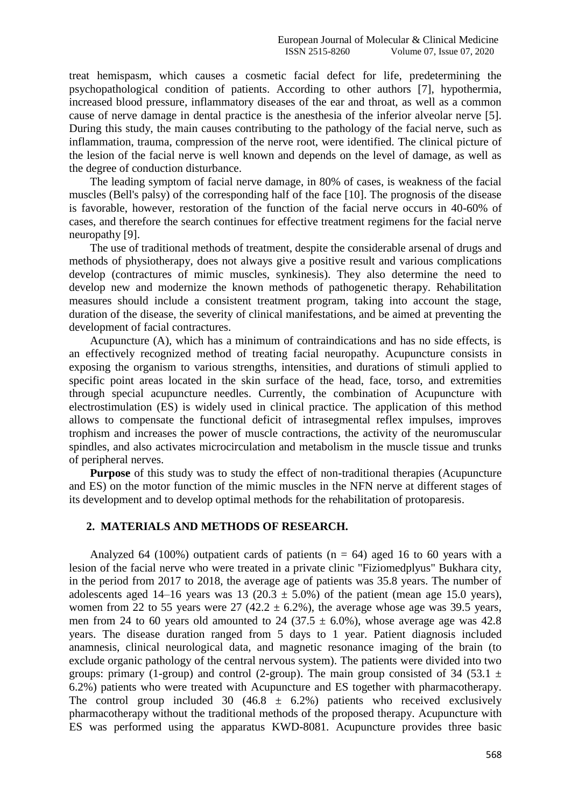treat hemispasm, which causes a cosmetic facial defect for life, predetermining the psychopathological condition of patients. According to other authors [7], hypothermia, increased blood pressure, inflammatory diseases of the ear and throat, as well as a common cause of nerve damage in dental practice is the anesthesia of the inferior alveolar nerve [5]. During this study, the main causes contributing to the pathology of the facial nerve, such as inflammation, trauma, compression of the nerve root, were identified. The clinical picture of the lesion of the facial nerve is well known and depends on the level of damage, as well as the degree of conduction disturbance.

The leading symptom of facial nerve damage, in 80% of cases, is weakness of the facial muscles (Bell's palsy) of the corresponding half of the face [10]. The prognosis of the disease is favorable, however, restoration of the function of the facial nerve occurs in 40-60% of cases, and therefore the search continues for effective treatment regimens for the facial nerve neuropathy [9].

The use of traditional methods of treatment, despite the considerable arsenal of drugs and methods of physiotherapy, does not always give a positive result and various complications develop (contractures of mimic muscles, synkinesis). They also determine the need to develop new and modernize the known methods of pathogenetic therapy. Rehabilitation measures should include a consistent treatment program, taking into account the stage, duration of the disease, the severity of clinical manifestations, and be aimed at preventing the development of facial contractures.

Acupuncture (A), which has a minimum of contraindications and has no side effects, is an effectively recognized method of treating facial neuropathy. Acupuncture consists in exposing the organism to various strengths, intensities, and durations of stimuli applied to specific point areas located in the skin surface of the head, face, torso, and extremities through special acupuncture needles. Currently, the combination of Acupuncture with electrostimulation (ES) is widely used in clinical practice. The application of this method allows to compensate the functional deficit of intrasegmental reflex impulses, improves trophism and increases the power of muscle contractions, the activity of the neuromuscular spindles, and also activates microcirculation and metabolism in the muscle tissue and trunks of peripheral nerves.

**Purpose** of this study was to study the effect of non-traditional therapies (Acupuncture and ES) on the motor function of the mimic muscles in the NFN nerve at different stages of its development and to develop optimal methods for the rehabilitation of protoparesis.

#### **2. MATERIALS AND METHODS OF RESEARCH.**

Analyzed 64 (100%) outpatient cards of patients ( $n = 64$ ) aged 16 to 60 years with a lesion of the facial nerve who were treated in a private clinic "Fiziomedplyus" Bukhara city, in the period from 2017 to 2018, the average age of patients was 35.8 years. The number of adolescents aged 14–16 years was 13 (20.3  $\pm$  5.0%) of the patient (mean age 15.0 years), women from 22 to 55 years were  $27$  (42.2  $\pm$  6.2%), the average whose age was 39.5 years, men from 24 to 60 years old amounted to 24 (37.5  $\pm$  6.0%), whose average age was 42.8 years. The disease duration ranged from 5 days to 1 year. Patient diagnosis included anamnesis, clinical neurological data, and magnetic resonance imaging of the brain (to exclude organic pathology of the central nervous system). The patients were divided into two groups: primary (1-group) and control (2-group). The main group consisted of 34 (53.1  $\pm$ 6.2%) patients who were treated with Acupuncture and ES together with pharmacotherapy. The control group included 30 (46.8  $\pm$  6.2%) patients who received exclusively pharmacotherapy without the traditional methods of the proposed therapy. Acupuncture with ES was performed using the apparatus KWD-8081. Acupuncture provides three basic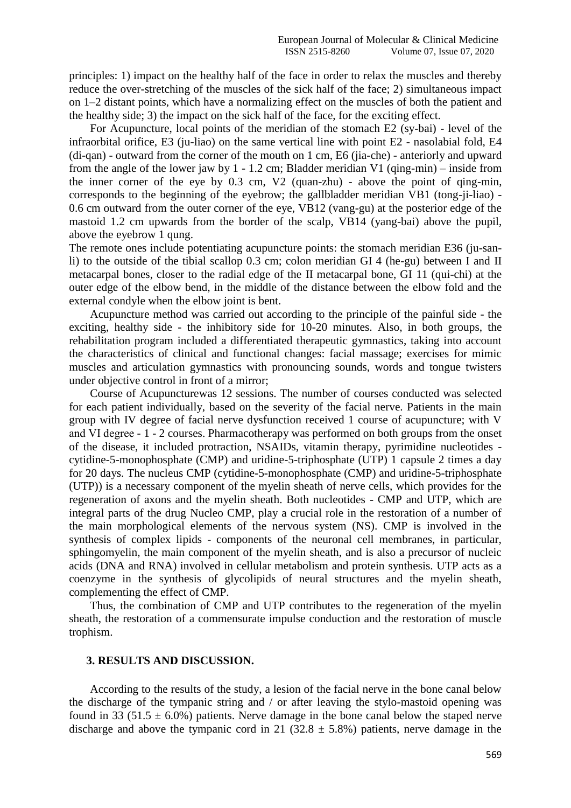principles: 1) impact on the healthy half of the face in order to relax the muscles and thereby reduce the over-stretching of the muscles of the sick half of the face; 2) simultaneous impact on 1–2 distant points, which have a normalizing effect on the muscles of both the patient and the healthy side; 3) the impact on the sick half of the face, for the exciting effect.

For Acupuncture, local points of the meridian of the stomach E2 (sy-bai) - level of the infraorbital orifice, E3 (ju-liao) on the same vertical line with point E2 - nasolabial fold, E4 (di-qan) - outward from the corner of the mouth on 1 cm, E6 (jia-che) - anteriorly and upward from the angle of the lower jaw by 1 - 1.2 cm; Bladder meridian V1 (qing-min) – inside from the inner corner of the eye by 0.3 cm, V2 (quan-zhu) - above the point of qing-min, corresponds to the beginning of the eyebrow; the gallbladder meridian VB1 (tong-ji-liao) - 0.6 cm outward from the outer corner of the eye, VB12 (vang-gu) at the posterior edge of the mastoid 1.2 cm upwards from the border of the scalp, VB14 (yang-bai) above the pupil, above the eyebrow 1 qung.

The remote ones include potentiating acupuncture points: the stomach meridian E36 (ju-sanli) to the outside of the tibial scallop 0.3 cm; colon meridian GI 4 (he-gu) between I and II metacarpal bones, closer to the radial edge of the II metacarpal bone, GI 11 (qui-chi) at the outer edge of the elbow bend, in the middle of the distance between the elbow fold and the external condyle when the elbow joint is bent.

Acupuncture method was carried out according to the principle of the painful side - the exciting, healthy side - the inhibitory side for 10-20 minutes. Also, in both groups, the rehabilitation program included a differentiated therapeutic gymnastics, taking into account the characteristics of clinical and functional changes: facial massage; exercises for mimic muscles and articulation gymnastics with pronouncing sounds, words and tongue twisters under objective control in front of a mirror;

Course of Acupuncturewas 12 sessions. The number of courses conducted was selected for each patient individually, based on the severity of the facial nerve. Patients in the main group with IV degree of facial nerve dysfunction received 1 course of acupuncture; with V and VІ degree - 1 - 2 courses. Pharmacotherapy was performed on both groups from the onset of the disease, it included protraction, NSAIDs, vitamin therapy, pyrimidine nucleotides cytidine-5-monophosphate (CMP) and uridine-5-triphosphate (UTP) 1 capsule 2 times a day for 20 days. The nucleus CMP (cytidine-5-monophosphate (CMP) and uridine-5-triphosphate (UTP)) is a necessary component of the myelin sheath of nerve cells, which provides for the regeneration of axons and the myelin sheath. Both nucleotides - CMP and UTP, which are integral parts of the drug Nucleo CMP, play a crucial role in the restoration of a number of the main morphological elements of the nervous system (NS). CMP is involved in the synthesis of complex lipids - components of the neuronal cell membranes, in particular, sphingomyelin, the main component of the myelin sheath, and is also a precursor of nucleic acids (DNA and RNA) involved in cellular metabolism and protein synthesis. UTP acts as a coenzyme in the synthesis of glycolipids of neural structures and the myelin sheath, complementing the effect of CMP.

Thus, the combination of CMP and UTP contributes to the regeneration of the myelin sheath, the restoration of a commensurate impulse conduction and the restoration of muscle trophism.

### **3. RESULTS AND DISCUSSION.**

According to the results of the study, a lesion of the facial nerve in the bone canal below the discharge of the tympanic string and / or after leaving the stylo-mastoid opening was found in 33 (51.5  $\pm$  6.0%) patients. Nerve damage in the bone canal below the staped nerve discharge and above the tympanic cord in 21 (32.8  $\pm$  5.8%) patients, nerve damage in the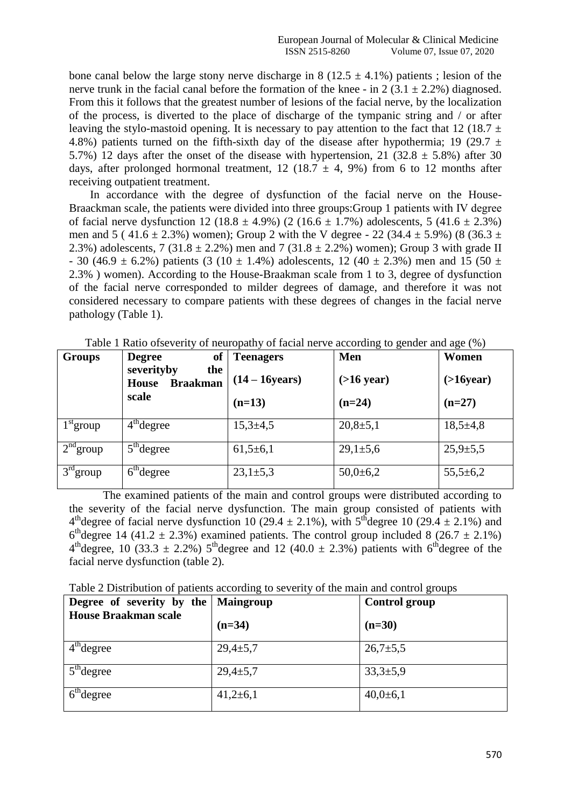bone canal below the large stony nerve discharge in 8 (12.5  $\pm$  4.1%) patients; lesion of the nerve trunk in the facial canal before the formation of the knee - in 2 (3.1  $\pm$  2.2%) diagnosed. From this it follows that the greatest number of lesions of the facial nerve, by the localization of the process, is diverted to the place of discharge of the tympanic string and / or after leaving the stylo-mastoid opening. It is necessary to pay attention to the fact that 12 (18.7  $\pm$ 4.8%) patients turned on the fifth-sixth day of the disease after hypothermia; 19 (29.7  $\pm$ 5.7%) 12 days after the onset of the disease with hypertension, 21 (32.8  $\pm$  5.8%) after 30 days, after prolonged hormonal treatment, 12 (18.7  $\pm$  4, 9%) from 6 to 12 months after receiving outpatient treatment.

In accordance with the degree of dysfunction of the facial nerve on the House-Braackman scale, the patients were divided into three groups: Group 1 patients with IV degree of facial nerve dysfunction 12 (18.8  $\pm$  4.9%) (2 (16.6  $\pm$  1.7%) adolescents, 5 (41.6  $\pm$  2.3%) men and 5 (41.6  $\pm$  2.3%) women); Group 2 with the V degree - 22 (34.4  $\pm$  5.9%) (8 (36.3  $\pm$ 2.3%) adolescents, 7 (31.8  $\pm$  2.2%) men and 7 (31.8  $\pm$  2.2%) women); Group 3 with grade II - 30 (46.9  $\pm$  6.2%) patients (3 (10  $\pm$  1.4%) adolescents, 12 (40  $\pm$  2.3%) men and 15 (50  $\pm$ 2.3% ) women). According to the House-Braakman scale from 1 to 3, degree of dysfunction of the facial nerve corresponded to milder degrees of damage, and therefore it was not considered necessary to compare patients with these degrees of changes in the facial nerve pathology (Table 1).

| <b>Groups</b> | <sub>of</sub><br><b>Degree</b><br>severityby<br>the<br><b>Braakman</b><br><b>House</b><br>scale | <b>Teenagers</b><br>$(14 - 16$ years)<br>$(n=13)$ | Men<br>$($ >16 year $)$<br>$(n=24)$ | Women<br>$($ >16year $)$<br>$(n=27)$ |
|---------------|-------------------------------------------------------------------------------------------------|---------------------------------------------------|-------------------------------------|--------------------------------------|
| $1st$ group   | $4th$ degree                                                                                    | $15,3{\pm}4,5$                                    | $20,8+5,1$                          | $18,5+4,8$                           |
| $2nd$ group   | $5th$ degree                                                                                    | $61,5+6,1$                                        | $29,1 \pm 5,6$                      | $25,9{\pm}5,5$                       |
| $3rd$ group   | $6th$ degree                                                                                    | $23,1 \pm 5,3$                                    | $50,0{\pm}6,2$                      | $55,5 \pm 6,2$                       |

Table 1 Ratio ofseverity of neuropathy of facial nerve according to gender and age (%)

The examined patients of the main and control groups were distributed according to the severity of the facial nerve dysfunction. The main group consisted of patients with 4<sup>th</sup>degree of facial nerve dysfunction 10 (29.4  $\pm$  2.1%), with 5<sup>th</sup>degree 10 (29.4  $\pm$  2.1%) and  $6<sup>th</sup>$  degree 14 (41.2  $\pm$  2.3%) examined patients. The control group included 8 (26.7  $\pm$  2.1%)  $4<sup>th</sup>$ degree, 10 (33.3  $\pm$  2.2%) 5<sup>th</sup>degree and 12 (40.0  $\pm$  2.3%) patients with 6<sup>th</sup> degree of the facial nerve dysfunction (table 2).

Table 2 Distribution of patients according to severity of the main and control groups

| Degree of severity by the Maingroup |                | <b>Control group</b> |
|-------------------------------------|----------------|----------------------|
| <b>House Braakman scale</b>         | $(n=34)$       | $(n=30)$             |
| $4th$ degree                        | $29,4 \pm 5,7$ | $26,7{\pm}5,5$       |
| $5th$ degree                        | $29,4 \pm 5,7$ | $33,3{\pm}5,9$       |
| $6th$ degree                        | $41,2{\pm}6,1$ | $40,0{\pm}6,1$       |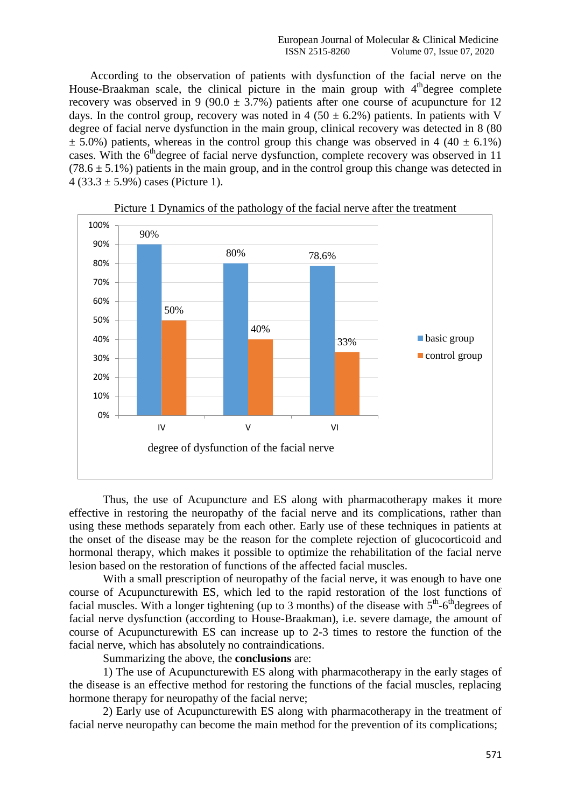According to the observation of patients with dysfunction of the facial nerve on the House-Braakman scale, the clinical picture in the main group with 4<sup>th</sup>degree complete recovery was observed in 9 (90.0  $\pm$  3.7%) patients after one course of acupuncture for 12 days. In the control group, recovery was noted in 4 (50  $\pm$  6.2%) patients. In patients with V degree of facial nerve dysfunction in the main group, clinical recovery was detected in 8 (80  $\pm$  5.0%) patients, whereas in the control group this change was observed in 4 (40  $\pm$  6.1%) cases. With the 6<sup>th</sup>degree of facial nerve dysfunction, complete recovery was observed in 11  $(78.6 \pm 5.1\%)$  patients in the main group, and in the control group this change was detected in 4 (33.3  $\pm$  5.9%) cases (Picture 1).





Thus, the use of Acupuncture and ES along with pharmacotherapy makes it more effective in restoring the neuropathy of the facial nerve and its complications, rather than using these methods separately from each other. Early use of these techniques in patients at the onset of the disease may be the reason for the complete rejection of glucocorticoid and hormonal therapy, which makes it possible to optimize the rehabilitation of the facial nerve lesion based on the restoration of functions of the affected facial muscles.

With a small prescription of neuropathy of the facial nerve, it was enough to have one course of Acupuncturewith ES, which led to the rapid restoration of the lost functions of facial muscles. With a longer tightening (up to 3 months) of the disease with  $5<sup>th</sup>$ -6<sup>th</sup>degrees of facial nerve dysfunction (according to House-Braakman), i.e. severe damage, the amount of course of Acupuncturewith ES can increase up to 2-3 times to restore the function of the facial nerve, which has absolutely no contraindications.

Summarizing the above, the **conclusions** are:

1) The use of Acupuncturewith ES along with pharmacotherapy in the early stages of the disease is an effective method for restoring the functions of the facial muscles, replacing hormone therapy for neuropathy of the facial nerve;

2) Early use of Acupuncturewith ES along with pharmacotherapy in the treatment of facial nerve neuropathy can become the main method for the prevention of its complications;